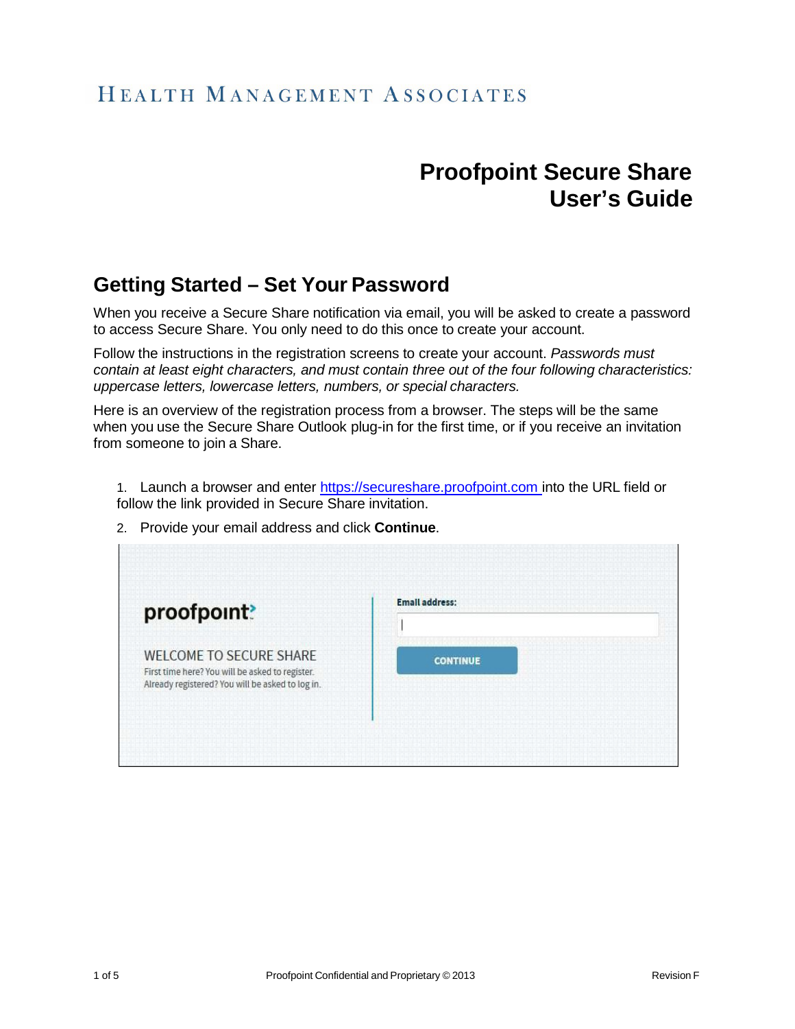## HEALTH MANAGEMENT ASSOCIATES

## **Proofpoint Secure Share User's Guide**

## **Getting Started – Set Your Password**

When you receive a Secure Share notification via email, you will be asked to create a password to access Secure Share. You only need to do this once to create your account.

Follow the instructions in the registration screens to create your account. *Passwords must contain at least eight characters, and must contain three out of the four following characteristics: uppercase letters, lowercase letters, numbers, or special characters.*

Here is an overview of the registration process from a browser. The steps will be the same when you use the Secure Share Outlook plug-in for the first time, or if you receive an invitation from someone to join a Share.

1. Launch a browser and enter [https://secureshare.proofpoint.com](https://secureshare.proofpoint.com/) into the URL field or follow the link provided in Secure Share invitation.

2. Provide your email address and click **Continue**.

| proofpoint?                                                                                                                           | <b>Email address:</b> |  |
|---------------------------------------------------------------------------------------------------------------------------------------|-----------------------|--|
|                                                                                                                                       |                       |  |
| <b>WELCOME TO SECURE SHARE</b><br>First time here? You will be asked to register.<br>Already registered? You will be asked to log in. | <b>CONTINUE</b>       |  |
|                                                                                                                                       |                       |  |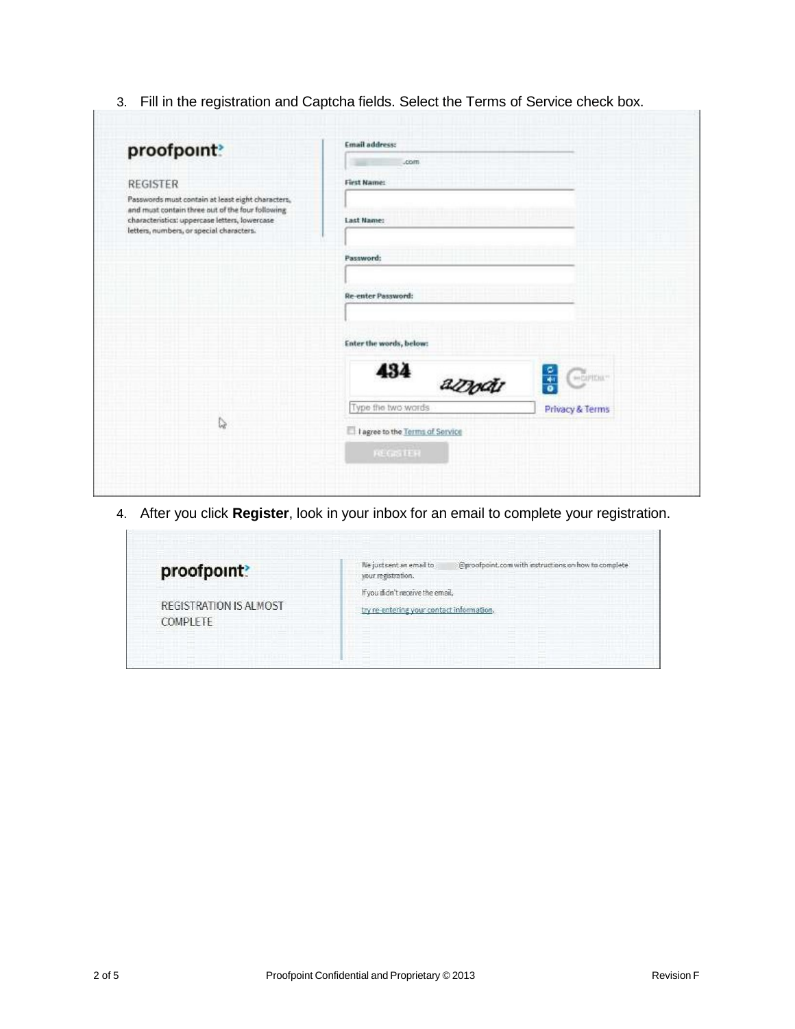3. Fill in the registration and Captcha fields. Select the Terms of Service check box.

| proofpoint?                                                                                                                                                                                        | <b>Email address:</b><br>.com                   |  |
|----------------------------------------------------------------------------------------------------------------------------------------------------------------------------------------------------|-------------------------------------------------|--|
| <b>REGISTER</b>                                                                                                                                                                                    | First Name:                                     |  |
| Passwords must contain at least eight characters,<br>and must contain three out of the four following<br>characteristics: uppercase letters, lowercase<br>letters, numbers, or special characters. | Last Name:                                      |  |
|                                                                                                                                                                                                    | Password:                                       |  |
|                                                                                                                                                                                                    | Re-enter Password:                              |  |
|                                                                                                                                                                                                    | Enter the words, below:                         |  |
|                                                                                                                                                                                                    | 434<br>securing-<br>$\frac{1}{\sigma}$<br>azodi |  |
| $\mathbb{S}$                                                                                                                                                                                       | Type the two words<br>Privacy & Terms           |  |
|                                                                                                                                                                                                    | I agree to the Terms of Service                 |  |
|                                                                                                                                                                                                    | <b>FOLDASTER</b>                                |  |

4. After you click **Register**, look in your inbox for an email to complete your registration.

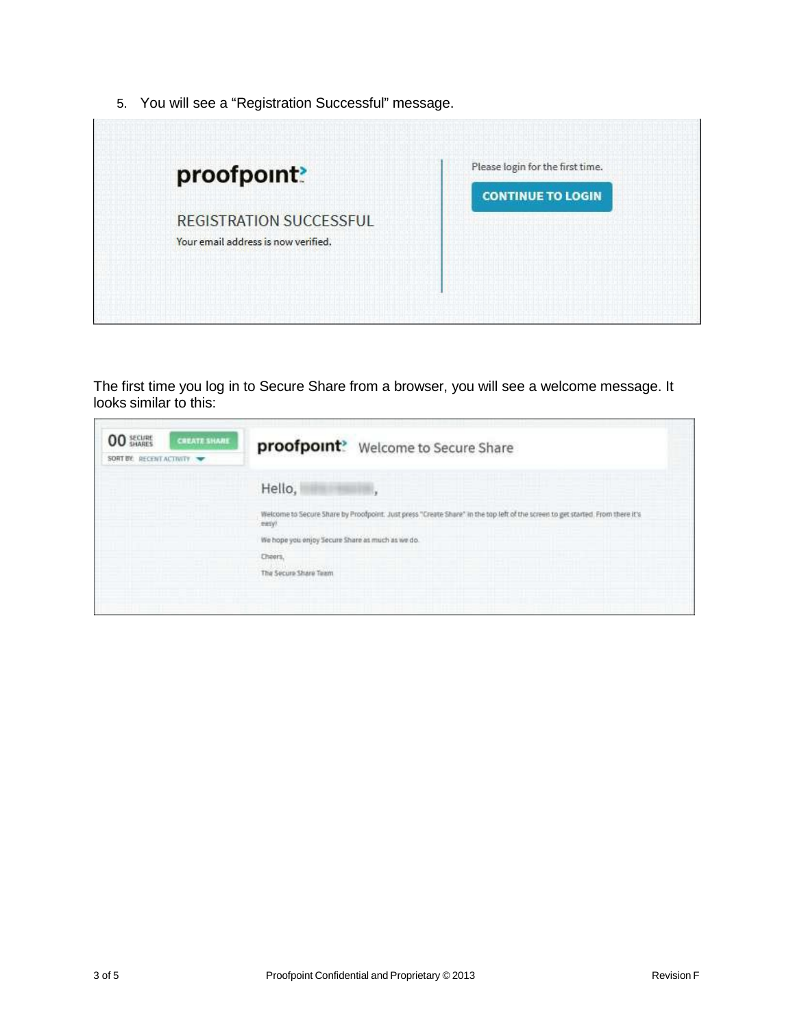5. You will see a "Registration Successful" message.



The first time you log in to Secure Share from a browser, you will see a welcome message. It looks similar to this:

| <b>00 SHARES</b><br><b>CREATE SHARE</b><br>SORT BY: RECENT ACTIVITY | proofpoint? Welcome to Secure Share                                                                                                     |
|---------------------------------------------------------------------|-----------------------------------------------------------------------------------------------------------------------------------------|
|                                                                     | Hello,                                                                                                                                  |
|                                                                     | Welcome to Secure Share by Proofpoint. Just press "Create Share" in the top left of the screen to get started. From there it's<br>seny! |
|                                                                     | We hope you enjoy Secure Share as much as we do.<br>Cheers.                                                                             |
|                                                                     | The Secure Share Team                                                                                                                   |
|                                                                     |                                                                                                                                         |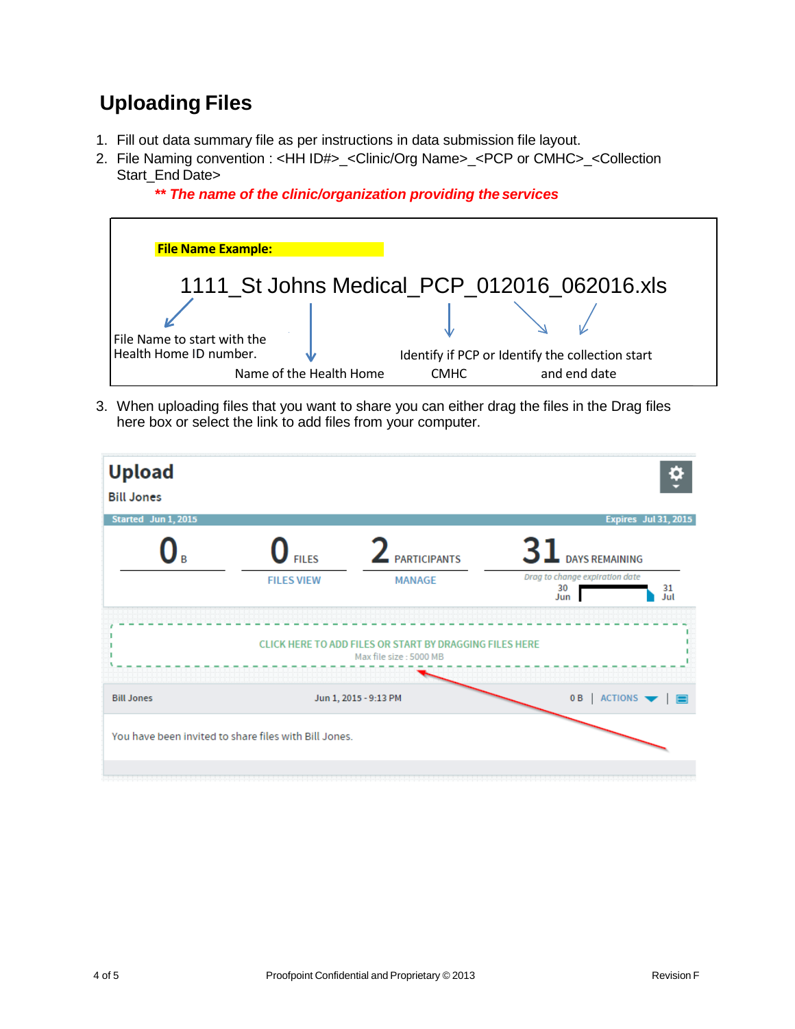## **Uploading Files**

- 1. Fill out data summary file as per instructions in data submission file layout.
- 2. File Naming convention : <HH ID#>\_<Clinic/Org Name>\_<PCP or CMHC>\_<Collection Start\_End Date>



*\*\* The name of the clinic/organization providing the services*

3. When uploading files that you want to share you can either drag the files in the Drag files here box or select the link to add files from your computer.

| <b>Upload</b><br><b>Bill Jones</b><br>Started Jun 1, 2015                         |                                                       |                                     |                                                                            | Expires Jul 31, 2015                                 |  |  |
|-----------------------------------------------------------------------------------|-------------------------------------------------------|-------------------------------------|----------------------------------------------------------------------------|------------------------------------------------------|--|--|
| R                                                                                 | $\mathbf U$ Files<br><b>FILES VIEW</b>                | <b>ARTICIPANTS</b><br><b>MANAGE</b> | 31<br><b>DAYS REMAINING</b><br>Drag to change expiration date<br>30<br>Jun | 31<br>Jul                                            |  |  |
| CLICK HERE TO ADD FILES OR START BY DRAGGING FILES HERE<br>Max file size: 5000 MB |                                                       |                                     |                                                                            |                                                      |  |  |
| <b>Bill Jones</b>                                                                 |                                                       | Jun 1, 2015 - 9:13 PM               | 0B                                                                         | $ $ ACTIONS $\blacktriangleright$ $ $ $\blacksquare$ |  |  |
|                                                                                   | You have been invited to share files with Bill Jones. |                                     |                                                                            |                                                      |  |  |
|                                                                                   |                                                       |                                     |                                                                            |                                                      |  |  |